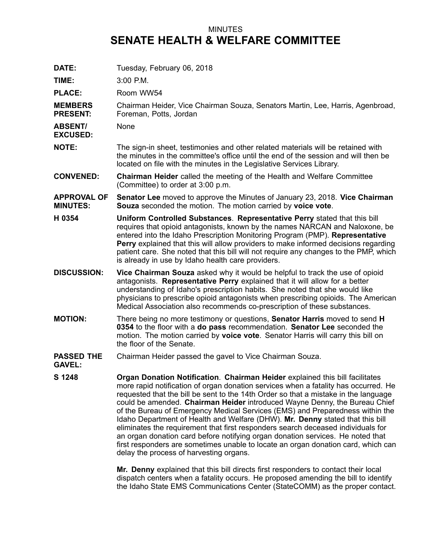## MINUTES **SENATE HEALTH & WELFARE COMMITTEE**

| DATE:                                 | Tuesday, February 06, 2018                                                                                                                                                                                                                                                                                                                                                                                                                                                                                                                                                                                                                                                                                                                                                                                       |
|---------------------------------------|------------------------------------------------------------------------------------------------------------------------------------------------------------------------------------------------------------------------------------------------------------------------------------------------------------------------------------------------------------------------------------------------------------------------------------------------------------------------------------------------------------------------------------------------------------------------------------------------------------------------------------------------------------------------------------------------------------------------------------------------------------------------------------------------------------------|
| TIME:                                 | 3:00 P.M.                                                                                                                                                                                                                                                                                                                                                                                                                                                                                                                                                                                                                                                                                                                                                                                                        |
| <b>PLACE:</b>                         | Room WW54                                                                                                                                                                                                                                                                                                                                                                                                                                                                                                                                                                                                                                                                                                                                                                                                        |
| <b>MEMBERS</b><br><b>PRESENT:</b>     | Chairman Heider, Vice Chairman Souza, Senators Martin, Lee, Harris, Agenbroad,<br>Foreman, Potts, Jordan                                                                                                                                                                                                                                                                                                                                                                                                                                                                                                                                                                                                                                                                                                         |
| <b>ABSENT/</b><br><b>EXCUSED:</b>     | None                                                                                                                                                                                                                                                                                                                                                                                                                                                                                                                                                                                                                                                                                                                                                                                                             |
| <b>NOTE:</b>                          | The sign-in sheet, testimonies and other related materials will be retained with<br>the minutes in the committee's office until the end of the session and will then be<br>located on file with the minutes in the Legislative Services Library.                                                                                                                                                                                                                                                                                                                                                                                                                                                                                                                                                                 |
| <b>CONVENED:</b>                      | <b>Chairman Heider</b> called the meeting of the Health and Welfare Committee<br>(Committee) to order at 3:00 p.m.                                                                                                                                                                                                                                                                                                                                                                                                                                                                                                                                                                                                                                                                                               |
| <b>APPROVAL OF</b><br><b>MINUTES:</b> | Senator Lee moved to approve the Minutes of January 23, 2018. Vice Chairman<br>Souza seconded the motion. The motion carried by voice vote.                                                                                                                                                                                                                                                                                                                                                                                                                                                                                                                                                                                                                                                                      |
| H 0354                                | Uniform Controlled Substances. Representative Perry stated that this bill<br>requires that opioid antagonists, known by the names NARCAN and Naloxone, be<br>entered into the Idaho Prescription Monitoring Program (PMP). Representative<br>Perry explained that this will allow providers to make informed decisions regarding<br>patient care. She noted that this bill will not require any changes to the PMP, which<br>is already in use by Idaho health care providers.                                                                                                                                                                                                                                                                                                                                   |
| <b>DISCUSSION:</b>                    | Vice Chairman Souza asked why it would be helpful to track the use of opioid<br>antagonists. Representative Perry explained that it will allow for a better<br>understanding of Idaho's prescription habits. She noted that she would like<br>physicians to prescribe opioid antagonists when prescribing opioids. The American<br>Medical Association also recommends co-prescription of these substances.                                                                                                                                                                                                                                                                                                                                                                                                      |
| <b>MOTION:</b>                        | There being no more testimony or questions, <b>Senator Harris</b> moved to send <b>H</b><br>0354 to the floor with a do pass recommendation. Senator Lee seconded the<br>motion. The motion carried by voice vote. Senator Harris will carry this bill on<br>the floor of the Senate.                                                                                                                                                                                                                                                                                                                                                                                                                                                                                                                            |
| <b>PASSED THE</b><br><b>GAVEL:</b>    | Chairman Heider passed the gavel to Vice Chairman Souza.                                                                                                                                                                                                                                                                                                                                                                                                                                                                                                                                                                                                                                                                                                                                                         |
| S 1248                                | Organ Donation Notification. Chairman Heider explained this bill facilitates<br>more rapid notification of organ donation services when a fatality has occurred. He<br>requested that the bill be sent to the 14th Order so that a mistake in the language<br>could be amended. Chairman Heider introduced Wayne Denny, the Bureau Chief<br>of the Bureau of Emergency Medical Services (EMS) and Preparedness within the<br>Idaho Department of Health and Welfare (DHW). Mr. Denny stated that this bill<br>eliminates the requirement that first responders search deceased individuals for<br>an organ donation card before notifying organ donation services. He noted that<br>first responders are sometimes unable to locate an organ donation card, which can<br>delay the process of harvesting organs. |
|                                       | Mr. Denny explained that this bill directs first responders to contact their local                                                                                                                                                                                                                                                                                                                                                                                                                                                                                                                                                                                                                                                                                                                               |

the Idaho State EMS Communications Center (StateCOMM) as the proper contact.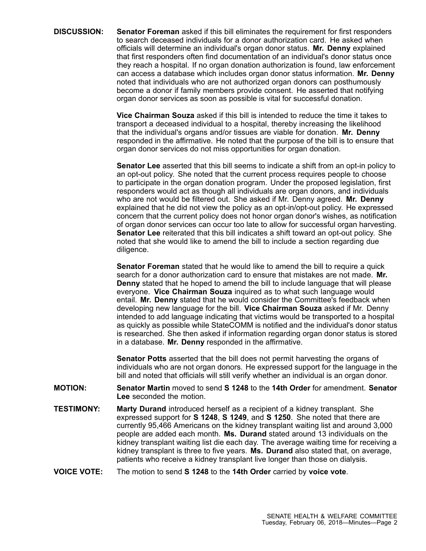**DISCUSSION: Senator Foreman** asked if this bill eliminates the requirement for first responders to search deceased individuals for a donor authorization card. He asked when officials will determine an individual's organ donor status. **Mr. Denny** explained that first responders often find documentation of an individual's donor status once they reach <sup>a</sup> hospital. If no organ donation authorization is found, law enforcement can access <sup>a</sup> database which includes organ donor status information. **Mr. Denny** noted that individuals who are not authorized organ donors can posthumously become <sup>a</sup> donor if family members provide consent. He asserted that notifying organ donor services as soon as possible is vital for successful donation.

> **Vice Chairman Souza** asked if this bill is intended to reduce the time it takes to transport <sup>a</sup> deceased individual to <sup>a</sup> hospital, thereby increasing the likelihood that the individual's organs and/or tissues are viable for donation. **Mr. Denny** responded in the affirmative. He noted that the purpose of the bill is to ensure that organ donor services do not miss opportunities for organ donation.

> **Senator Lee** asserted that this bill seems to indicate <sup>a</sup> shift from an opt-in policy to an opt-out policy. She noted that the current process requires people to choose to participate in the organ donation program. Under the proposed legislation, first responders would act as though all individuals are organ donors, and individuals who are not would be filtered out. She asked if Mr. Denny agreed. **Mr. Denny** explained that he did not view the policy as an opt-in/opt-out policy. He expressed concern that the current policy does not honor organ donor's wishes, as notification of organ donor services can occur too late to allow for successful organ harvesting. **Senator Lee** reiterated that this bill indicates <sup>a</sup> shift toward an opt-out policy. She noted that she would like to amend the bill to include <sup>a</sup> section regarding due diligence.

> **Senator Foreman** stated that he would like to amend the bill to require <sup>a</sup> quick search for a donor authorization card to ensure that mistakes are not made. **Mr. Denny** stated that he hoped to amend the bill to include language that will please everyone. **Vice Chairman Souza** inquired as to what such language would entail. **Mr. Denny** stated that he would consider the Committee's feedback when developing new language for the bill. **Vice Chairman Souza** asked if Mr. Denny intended to add language indicating that victims would be transported to <sup>a</sup> hospital as quickly as possible while StateCOMM is notified and the individual's donor status is researched. She then asked if information regarding organ donor status is stored in <sup>a</sup> database. **Mr. Denny** responded in the affirmative.

> **Senator Potts** asserted that the bill does not permit harvesting the organs of individuals who are not organ donors. He expressed support for the language in the bill and noted that officials will still verify whether an individual is an organ donor.

- **MOTION: Senator Martin** moved to send **S 1248** to the **14th Order** for amendment. **Senator Lee** seconded the motion.
- **TESTIMONY: Marty Durand** introduced herself as <sup>a</sup> recipient of <sup>a</sup> kidney transplant. She expressed support for **S 1248**, **S 1249**, and **S 1250**. She noted that there are currently 95,466 Americans on the kidney transplant waiting list and around 3,000 people are added each month. **Ms. Durand** stated around 13 individuals on the kidney transplant waiting list die each day. The average waiting time for receiving <sup>a</sup> kidney transplant is three to five years. **Ms. Durand** also stated that, on average, patients who receive <sup>a</sup> kidney transplant live longer than those on dialysis.
- **VOICE VOTE:** The motion to send **S 1248** to the **14th Order** carried by **voice vote**.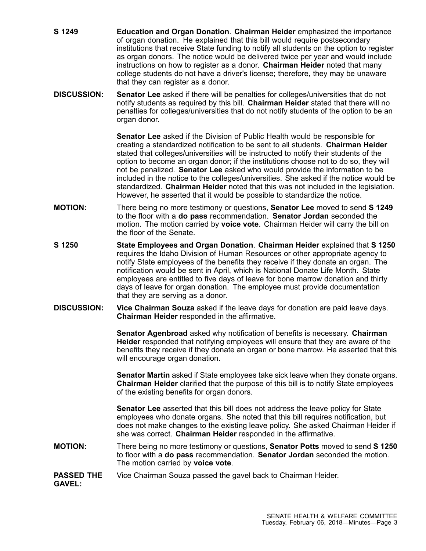- **S 1249 Education and Organ Donation**. **Chairman Heider** emphasized the importance of organ donation. He explained that this bill would require postsecondary institutions that receive State funding to notify all students on the option to register as organ donors. The notice would be delivered twice per year and would include instructions on how to register as <sup>a</sup> donor. **Chairman Heider** noted that many college students do not have <sup>a</sup> driver's license; therefore, they may be unaware that they can register as <sup>a</sup> donor.
- **DISCUSSION: Senator Lee** asked if there will be penalties for colleges/universities that do not notify students as required by this bill. **Chairman Heider** stated that there will no penalties for colleges/universities that do not notify students of the option to be an organ donor.

**Senator Lee** asked if the Division of Public Health would be responsible for creating <sup>a</sup> standardized notification to be sent to all students. **Chairman Heider** stated that colleges/universities will be instructed to notify their students of the option to become an organ donor; if the institutions choose not to do so, they will not be penalized. **Senator Lee** asked who would provide the information to be included in the notice to the colleges/universities. She asked if the notice would be standardized. **Chairman Heider** noted that this was not included in the legislation. However, he asserted that it would be possible to standardize the notice.

- **MOTION:** There being no more testimony or questions, **Senator Lee** moved to send **S 1249** to the floor with <sup>a</sup> **do pass** recommendation. **Senator Jordan** seconded the motion. The motion carried by **voice vote**. Chairman Heider will carry the bill on the floor of the Senate.
- **S 1250 State Employees and Organ Donation**. **Chairman Heider** explained that **S 1250** requires the Idaho Division of Human Resources or other appropriate agency to notify State employees of the benefits they receive if they donate an organ. The notification would be sent in April, which is National Donate Life Month. State employees are entitled to five days of leave for bone marrow donation and thirty days of leave for organ donation. The employee must provide documentation that they are serving as <sup>a</sup> donor.
- **DISCUSSION: Vice Chairman Souza** asked if the leave days for donation are paid leave days. **Chairman Heider** responded in the affirmative.

**Senator Agenbroad** asked why notification of benefits is necessary. **Chairman Heider** responded that notifying employees will ensure that they are aware of the benefits they receive if they donate an organ or bone marrow. He asserted that this will encourage organ donation.

**Senator Martin** asked if State employees take sick leave when they donate organs. **Chairman Heider** clarified that the purpose of this bill is to notify State employees of the existing benefits for organ donors.

**Senator Lee** asserted that this bill does not address the leave policy for State employees who donate organs. She noted that this bill requires notification, but does not make changes to the existing leave policy. She asked Chairman Heider if she was correct. **Chairman Heider** responded in the affirmative.

**MOTION:** There being no more testimony or questions, **Senator Potts** moved to send **S 1250** to floor with <sup>a</sup> **do pass** recommendation. **Senator Jordan** seconded the motion. The motion carried by **voice vote**.

## **PASSED THE** Vice Chairman Souza passed the gavel back to Chairman Heider.

**GAVEL:**